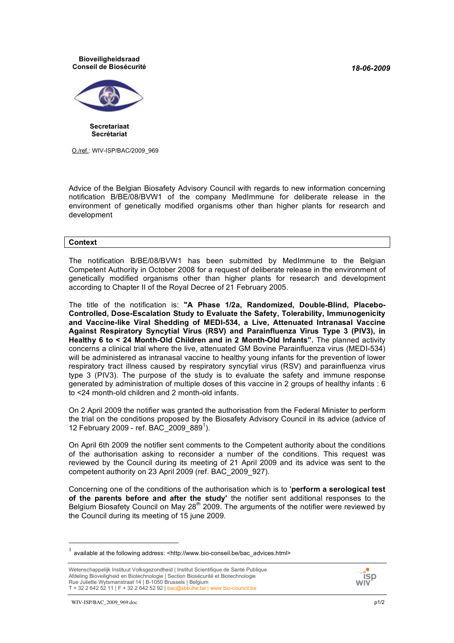*18-06-2009*

## **Bioveiligheidsraad Conseil de Biosécurité**



**Secretariaat Secrétariat**

O./ref.: WIV-ISP/BAC/2009\_969

Advice of the Belgian Biosafety Advisory Council with regards to new information concerning notification B/BE/08/BVW1 of the company MedImmune for deliberate release in the environment of genetically modified organisms other than higher plants for research and development

## **Context**

The notification B/BE/08/BVW1 has been submitted by MedImmune to the Belgian Competent Authority in October 2008 for a request of deliberate release in the environment of genetically modified organisms other than higher plants for research and development according to Chapter II of the Royal Decree of 21 February 2005.

The title of the notification is: **"A Phase 1/2a, Randomized, Double-Blind, Placebo-Controlled, Dose-Escalation Study to Evaluate the Safety, Tolerability, Immunogenicity and Vaccine-like Viral Shedding of MEDI-534, a Live, Attenuated Intranasal Vaccine Against Respiratory Syncytial Virus (RSV) and Parainfluenza Virus Type 3 (PIV3), in Healthy 6 to < 24 Month-Old Children and in 2 Month-Old Infants".** The planned activity concerns a clinical trial where the live, attenuated GM Bovine Parainfluenza virus (MEDI-534) will be administered as intranasal vaccine to healthy young infants for the prevention of lower respiratory tract illness caused by respiratory syncytial virus (RSV) and parainfluenza virus type 3 (PIV3). The purpose of the study is to evaluate the safety and immune response generated by administration of multiple doses of this vaccine in 2 groups of healthy infants : 6 to <24 month-old children and 2 month-old infants.

On 2 April 2009 the notifier was granted the authorisation from the Federal Minister to perform the trial on the conditions proposed by the Biosafety Advisory Council in its advice (advice of 12 February 2009 - ref. BAC\_2009\_889<sup>1</sup> ).

On April 6th 2009 the notifier sent comments to the Competent authority about the conditions of the authorisation asking to reconsider a number of the conditions. This request was reviewed by the Council during its meeting of 21 April 2009 and its advice was sent to the competent authority on 23 April 2009 (ref. BAC\_2009\_927).

Concerning one of the conditions of the authorisation which is to '**perform a serological test of the parents before and after the study'** the notifier sent additional responses to the Belgium Biosafety Council on May  $28<sup>th</sup>$  2009. The arguments of the notifier were reviewed by the Council during its meeting of 15 june 2009.



available at the following address: <http://www.bio-conseil.be/bac\_advices.html>

Wetenschappelijk Instituut Volksgezondheid | Institut Scientifique de Santé Publique Afdeling Bioveiligheid en Biotechnologie | Section Biosécurité et Biotechnologie Rue Juliette Wytsmanstraat 14 | B-1050 Brussels | Belgium T + 32 2 642 52 11 | F + 32 2 642 52 92 | bac@sbb.ihe.be | www.bio-council.be